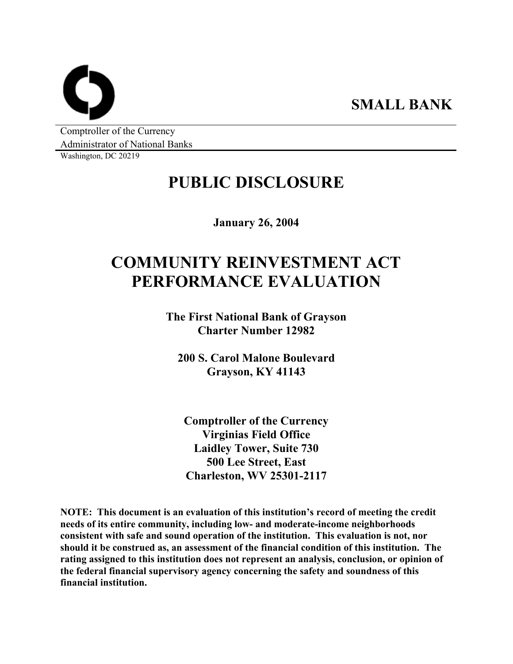**SMALL BANK** 

Comptroller of the Currency Administrator of National Banks

Washington, DC 20219

## **PUBLIC DISCLOSURE**

**January 26, 2004** 

# **COMMUNITY REINVESTMENT ACT PERFORMANCE EVALUATION**

**The First National Bank of Grayson Charter Number 12982** 

**200 S. Carol Malone Boulevard Grayson, KY 41143** 

**Comptroller of the Currency Virginias Field Office Laidley Tower, Suite 730 500 Lee Street, East Charleston, WV 25301-2117** 

**NOTE: This document is an evaluation of this institution's record of meeting the credit needs of its entire community, including low- and moderate-income neighborhoods consistent with safe and sound operation of the institution. This evaluation is not, nor should it be construed as, an assessment of the financial condition of this institution. The rating assigned to this institution does not represent an analysis, conclusion, or opinion of the federal financial supervisory agency concerning the safety and soundness of this financial institution.**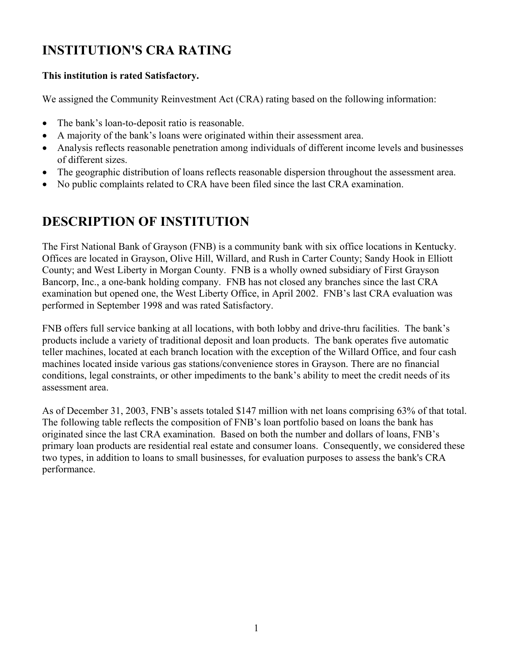## **INSTITUTION'S CRA RATING**

### **This institution is rated Satisfactory.**

We assigned the Community Reinvestment Act (CRA) rating based on the following information:

- The bank's loan-to-deposit ratio is reasonable.
- A majority of the bank's loans were originated within their assessment area.
- Analysis reflects reasonable penetration among individuals of different income levels and businesses of different sizes.
- The geographic distribution of loans reflects reasonable dispersion throughout the assessment area.
- No public complaints related to CRA have been filed since the last CRA examination.

### **DESCRIPTION OF INSTITUTION**

The First National Bank of Grayson (FNB) is a community bank with six office locations in Kentucky. Offices are located in Grayson, Olive Hill, Willard, and Rush in Carter County; Sandy Hook in Elliott County; and West Liberty in Morgan County. FNB is a wholly owned subsidiary of First Grayson Bancorp, Inc., a one-bank holding company. FNB has not closed any branches since the last CRA examination but opened one, the West Liberty Office, in April 2002. FNB's last CRA evaluation was performed in September 1998 and was rated Satisfactory.

FNB offers full service banking at all locations, with both lobby and drive-thru facilities. The bank's products include a variety of traditional deposit and loan products. The bank operates five automatic teller machines, located at each branch location with the exception of the Willard Office, and four cash machines located inside various gas stations/convenience stores in Grayson. There are no financial conditions, legal constraints, or other impediments to the bank's ability to meet the credit needs of its assessment area.

As of December 31, 2003, FNB's assets totaled \$147 million with net loans comprising 63% of that total. The following table reflects the composition of FNB's loan portfolio based on loans the bank has originated since the last CRA examination. Based on both the number and dollars of loans, FNB's primary loan products are residential real estate and consumer loans. Consequently, we considered these two types, in addition to loans to small businesses, for evaluation purposes to assess the bank's CRA performance.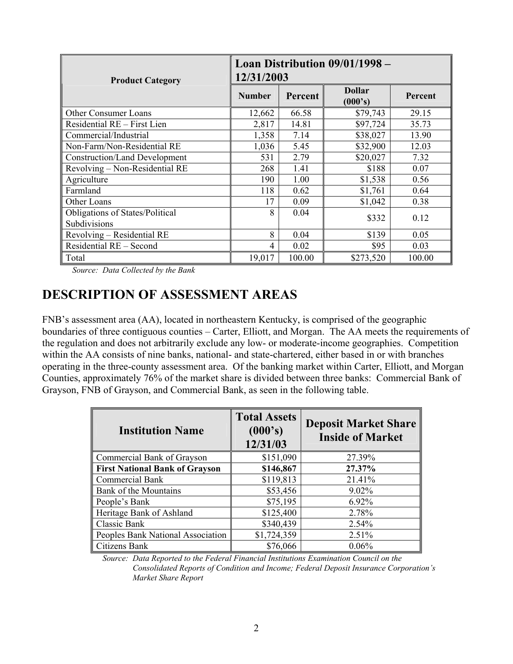| <b>Product Category</b>                                | Loan Distribution 09/01/1998 –<br>12/31/2003 |         |                          |         |  |  |  |  |  |
|--------------------------------------------------------|----------------------------------------------|---------|--------------------------|---------|--|--|--|--|--|
|                                                        | <b>Number</b>                                | Percent | <b>Dollar</b><br>(000's) | Percent |  |  |  |  |  |
| <b>Other Consumer Loans</b>                            | 12,662                                       | 66.58   | \$79,743                 | 29.15   |  |  |  |  |  |
| Residential RE – First Lien                            | 2,817                                        | 14.81   | \$97,724                 | 35.73   |  |  |  |  |  |
| Commercial/Industrial                                  | 1,358                                        | 7.14    | \$38,027                 | 13.90   |  |  |  |  |  |
| Non-Farm/Non-Residential RE                            | 1,036                                        | 5.45    | \$32,900                 | 12.03   |  |  |  |  |  |
| <b>Construction/Land Development</b>                   | 531                                          | 2.79    | \$20,027                 | 7.32    |  |  |  |  |  |
| Revolving - Non-Residential RE                         | 268                                          | 1.41    | \$188                    | 0.07    |  |  |  |  |  |
| Agriculture                                            | 190                                          | 1.00    | \$1,538                  | 0.56    |  |  |  |  |  |
| Farmland                                               | 118                                          | 0.62    | \$1,761                  | 0.64    |  |  |  |  |  |
| Other Loans                                            | 17                                           | 0.09    | \$1,042                  | 0.38    |  |  |  |  |  |
| <b>Obligations of States/Political</b><br>Subdivisions | 8                                            | 0.04    | \$332                    | 0.12    |  |  |  |  |  |
| Revolving - Residential RE                             | 8                                            | 0.04    | \$139                    | 0.05    |  |  |  |  |  |
| Residential RE - Second                                | 4                                            | 0.02    | \$95                     | 0.03    |  |  |  |  |  |
| Total                                                  | 19,017                                       | 100.00  | \$273,520                | 100.00  |  |  |  |  |  |

*Source: Data Collected by the Bank* 

### **DESCRIPTION OF ASSESSMENT AREAS**

FNB's assessment area (AA), located in northeastern Kentucky, is comprised of the geographic boundaries of three contiguous counties – Carter, Elliott, and Morgan. The AA meets the requirements of the regulation and does not arbitrarily exclude any low- or moderate-income geographies. Competition within the AA consists of nine banks, national- and state-chartered, either based in or with branches operating in the three-county assessment area. Of the banking market within Carter, Elliott, and Morgan Counties, approximately 76% of the market share is divided between three banks: Commercial Bank of Grayson, FNB of Grayson, and Commercial Bank, as seen in the following table.

| <b>Institution Name</b>           | <b>Total Assets</b><br>(000's)<br>12/31/03 | <b>Deposit Market Share</b><br><b>Inside of Market</b> |
|-----------------------------------|--------------------------------------------|--------------------------------------------------------|
| Commercial Bank of Grayson        | \$151,090                                  | 27.39%                                                 |
| First National Bank of Grayson    | \$146,867                                  | 27.37%                                                 |
| Commercial Bank                   | \$119,813                                  | 21.41%                                                 |
| <b>Bank of the Mountains</b>      | \$53,456                                   | 9.02%                                                  |
| People's Bank                     | \$75,195                                   | 6.92%                                                  |
| Heritage Bank of Ashland          | \$125,400                                  | 2.78%                                                  |
| Classic Bank                      | \$340,439                                  | 2.54%                                                  |
| Peoples Bank National Association | \$1,724,359                                | 2.51%                                                  |
| Citizens Bank                     | \$76,066                                   | 0.06%                                                  |

*Source: Data Reported to the Federal Financial Institutions Examination Council on the Consolidated Reports of Condition and Income; Federal Deposit Insurance Corporation's Market Share Report*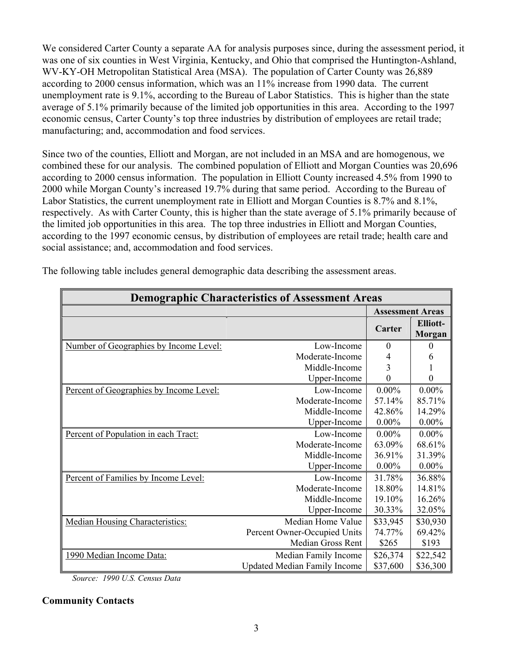We considered Carter County a separate AA for analysis purposes since, during the assessment period, it was one of six counties in West Virginia, Kentucky, and Ohio that comprised the Huntington-Ashland, WV-KY-OH Metropolitan Statistical Area (MSA). The population of Carter County was 26,889 according to 2000 census information, which was an 11% increase from 1990 data. The current unemployment rate is 9.1%, according to the Bureau of Labor Statistics. This is higher than the state average of 5.1% primarily because of the limited job opportunities in this area. According to the 1997 economic census, Carter County's top three industries by distribution of employees are retail trade; manufacturing; and, accommodation and food services.

Since two of the counties, Elliott and Morgan, are not included in an MSA and are homogenous, we combined these for our analysis. The combined population of Elliott and Morgan Counties was 20,696 according to 2000 census information. The population in Elliott County increased 4.5% from 1990 to 2000 while Morgan County's increased 19.7% during that same period. According to the Bureau of Labor Statistics, the current unemployment rate in Elliott and Morgan Counties is 8.7% and 8.1%, respectively. As with Carter County, this is higher than the state average of 5.1% primarily because of the limited job opportunities in this area. The top three industries in Elliott and Morgan Counties, according to the 1997 economic census, by distribution of employees are retail trade; health care and social assistance; and, accommodation and food services.

|                                         | <b>Demographic Characteristics of Assessment Areas</b> |                         |                                  |
|-----------------------------------------|--------------------------------------------------------|-------------------------|----------------------------------|
|                                         |                                                        | <b>Assessment Areas</b> |                                  |
|                                         |                                                        | Carter                  | <b>Elliott-</b><br><b>Morgan</b> |
| Number of Geographies by Income Level:  | Low-Income                                             | $\Omega$                | $\Omega$                         |
|                                         | Moderate-Income                                        | 4                       | 6                                |
|                                         | Middle-Income                                          | 3                       |                                  |
|                                         | Upper-Income                                           | 0                       | $\theta$                         |
| Percent of Geographies by Income Level: | Low-Income                                             | $0.00\%$                | $0.00\%$                         |
|                                         | Moderate-Income                                        | 57.14%                  | 85.71%                           |
|                                         | Middle-Income                                          | 42.86%                  | 14.29%                           |
|                                         | Upper-Income                                           | $0.00\%$                | $0.00\%$                         |
| Percent of Population in each Tract:    | Low-Income                                             | $0.00\%$                | $0.00\%$                         |
|                                         | Moderate-Income                                        | 63.09%                  | 68.61%                           |
|                                         | Middle-Income                                          | 36.91%                  | 31.39%                           |
|                                         | Upper-Income                                           | $0.00\%$                | $0.00\%$                         |
| Percent of Families by Income Level:    | Low-Income                                             | 31.78%                  | 36.88%                           |
|                                         | Moderate-Income                                        | 18.80%                  | 14.81%                           |
|                                         | Middle-Income                                          | 19.10%                  | 16.26%                           |
|                                         | Upper-Income                                           | 30.33%                  | 32.05%                           |
| <b>Median Housing Characteristics:</b>  | Median Home Value                                      | \$33,945                | \$30,930                         |
|                                         | Percent Owner-Occupied Units                           | 74.77%                  | 69.42%                           |
|                                         | Median Gross Rent                                      | \$265                   | \$193                            |
| 1990 Median Income Data:                | Median Family Income                                   | \$26,374                | \$22,542                         |
|                                         | <b>Updated Median Family Income</b>                    | \$37,600                | \$36,300                         |

The following table includes general demographic data describing the assessment areas.

*Source: 1990 U.S. Census Data* 

### **Community Contacts**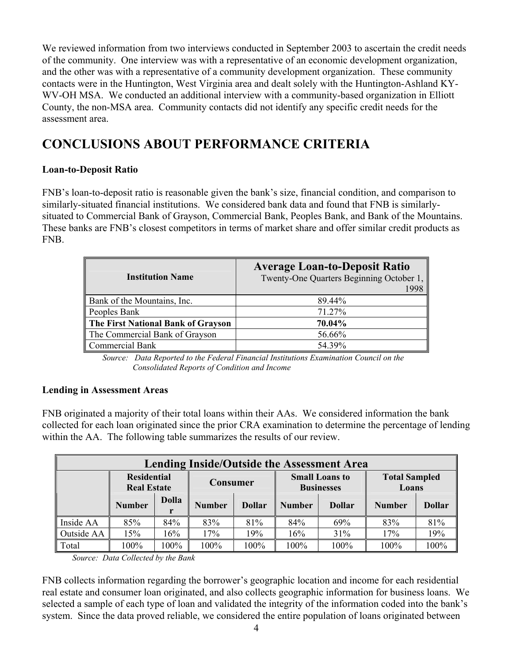We reviewed information from two interviews conducted in September 2003 to ascertain the credit needs of the community. One interview was with a representative of an economic development organization, and the other was with a representative of a community development organization. These community contacts were in the Huntington, West Virginia area and dealt solely with the Huntington-Ashland KY-WV-OH MSA. We conducted an additional interview with a community-based organization in Elliott County, the non-MSA area. Community contacts did not identify any specific credit needs for the assessment area.

### **CONCLUSIONS ABOUT PERFORMANCE CRITERIA**

### **Loan-to-Deposit Ratio**

FNB's loan-to-deposit ratio is reasonable given the bank's size, financial condition, and comparison to similarly-situated financial institutions. We considered bank data and found that FNB is similarlysituated to Commercial Bank of Grayson, Commercial Bank, Peoples Bank, and Bank of the Mountains. These banks are FNB's closest competitors in terms of market share and offer similar credit products as FNB.

| <b>Institution Name</b>            | <b>Average Loan-to-Deposit Ratio</b><br>Twenty-One Quarters Beginning October 1, |
|------------------------------------|----------------------------------------------------------------------------------|
| Bank of the Mountains, Inc.        | 89.44%                                                                           |
| Peoples Bank                       | 71.27%                                                                           |
| The First National Bank of Grayson | 70.04%                                                                           |
| The Commercial Bank of Grayson     | 56.66%                                                                           |
| <b>Commercial Bank</b>             | 54.39%                                                                           |

*Source: Data Reported to the Federal Financial Institutions Examination Council on the Consolidated Reports of Condition and Income* 

### **Lending in Assessment Areas**

FNB originated a majority of their total loans within their AAs. We considered information the bank collected for each loan originated since the prior CRA examination to determine the percentage of lending within the AA. The following table summarizes the results of our review.

|            | <b>Lending Inside/Outside the Assessment Area</b> |              |               |                                |                                            |               |               |                               |  |  |  |  |  |
|------------|---------------------------------------------------|--------------|---------------|--------------------------------|--------------------------------------------|---------------|---------------|-------------------------------|--|--|--|--|--|
|            | <b>Residential</b><br><b>Real Estate</b>          |              | Consumer      |                                | <b>Small Loans to</b><br><b>Businesses</b> |               |               | <b>Total Sampled</b><br>Loans |  |  |  |  |  |
|            | <b>Number</b>                                     | <b>Dolla</b> | <b>Number</b> | <b>Dollar</b><br><b>Number</b> |                                            | <b>Dollar</b> | <b>Number</b> | <b>Dollar</b>                 |  |  |  |  |  |
| Inside AA  | 85%                                               | 84%          | 83%           | 81%                            | 84%                                        | 69%           | 83%           | 81%                           |  |  |  |  |  |
| Outside AA | 15%                                               | 16%          | 17%<br>19%    |                                | 16%                                        | 31%           | 17%           | 19%                           |  |  |  |  |  |
| Total      | 100%                                              | 100%         | 100%          | 100%                           | 100%                                       | 100%          | 100%          | 100%                          |  |  |  |  |  |

*Source: Data Collected by the Bank* 

FNB collects information regarding the borrower's geographic location and income for each residential real estate and consumer loan originated, and also collects geographic information for business loans. We selected a sample of each type of loan and validated the integrity of the information coded into the bank's system. Since the data proved reliable, we considered the entire population of loans originated between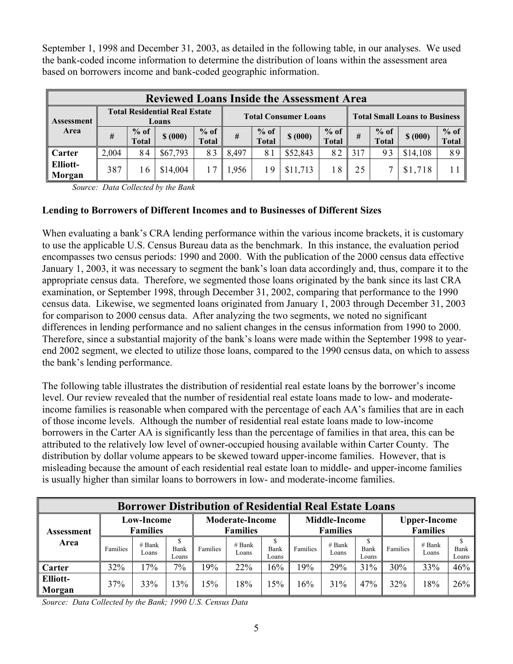September 1, 1998 and December 31, 2003, as detailed in the following table, in our analyses. We used the bank-coded income information to determine the distribution of loans within the assessment area based on borrowers income and bank-coded geographic information.

|                           | <b>Reviewed Loans Inside the Assessment Area</b> |                                               |          |                        |       |                             |          |                        |     |                                      |          |                 |  |
|---------------------------|--------------------------------------------------|-----------------------------------------------|----------|------------------------|-------|-----------------------------|----------|------------------------|-----|--------------------------------------|----------|-----------------|--|
| Assessment                |                                                  | <b>Total Residential Real Estate</b><br>Loans |          |                        |       | <b>Total Consumer Loans</b> |          |                        |     | <b>Total Small Loans to Business</b> |          |                 |  |
| Area                      | #                                                | $%$ of<br><b>Total</b>                        | \$ (000) | $%$ of<br><b>Total</b> | #     | $%$ of<br><b>Total</b>      | \$ (000) | $%$ of<br><b>Total</b> | #   | $%$ of<br><b>Total</b>               | \$ (000) | $%$ of<br>Total |  |
| <b>Carter</b>             | 2,004                                            | 84                                            | \$67,793 | 83                     | 8,497 | 81                          | \$52,843 | 82                     | 317 | 93                                   | \$14,108 | 89              |  |
| <b>Elliott-</b><br>Morgan | 387                                              | 16                                            | \$14,004 |                        | .956  | 19                          | \$11,713 | 18                     | 25  |                                      | \$1,718  |                 |  |

*Source: Data Collected by the Bank* 

### **Lending to Borrowers of Different Incomes and to Businesses of Different Sizes**

When evaluating a bank's CRA lending performance within the various income brackets, it is customary to use the applicable U.S. Census Bureau data as the benchmark. In this instance, the evaluation period encompasses two census periods: 1990 and 2000. With the publication of the 2000 census data effective January 1, 2003, it was necessary to segment the bank's loan data accordingly and, thus, compare it to the appropriate census data. Therefore, we segmented those loans originated by the bank since its last CRA examination, or September 1998, through December 31, 2002, comparing that performance to the 1990 census data. Likewise, we segmented loans originated from January 1, 2003 through December 31, 2003 for comparison to 2000 census data. After analyzing the two segments, we noted no significant differences in lending performance and no salient changes in the census information from 1990 to 2000. Therefore, since a substantial majority of the bank's loans were made within the September 1998 to yearend 2002 segment, we elected to utilize those loans, compared to the 1990 census data, on which to assess the bank's lending performance.

The following table illustrates the distribution of residential real estate loans by the borrower's income level. Our review revealed that the number of residential real estate loans made to low- and moderateincome families is reasonable when compared with the percentage of each AA's families that are in each of those income levels. Although the number of residential real estate loans made to low-income borrowers in the Carter AA is significantly less than the percentage of families in that area, this can be attributed to the relatively low level of owner-occupied housing available within Carter County. The distribution by dollar volume appears to be skewed toward upper-income families. However, that is misleading because the amount of each residential real estate loan to middle- and upper-income families is usually higher than similar loans to borrowers in low- and moderate-income families.

|                    | <b>Borrower Distribution of Residential Real Estate Loans</b> |                   |               |                                           |                   |               |                                         |                   |               |                                        |                   |                    |  |
|--------------------|---------------------------------------------------------------|-------------------|---------------|-------------------------------------------|-------------------|---------------|-----------------------------------------|-------------------|---------------|----------------------------------------|-------------------|--------------------|--|
| Assessment<br>Area | <b>Low-Income</b><br><b>Families</b>                          |                   |               | <b>Moderate-Income</b><br><b>Families</b> |                   |               | <b>Middle-Income</b><br><b>Families</b> |                   |               | <b>Upper-Income</b><br><b>Families</b> |                   |                    |  |
|                    | Families                                                      | $#$ Bank<br>Loans | Bank<br>Loans | Families                                  | $#$ Bank<br>Loans | Bank<br>Loans | Families                                | $#$ Bank<br>Loans | Bank<br>Loans | Families                               | $#$ Bank<br>Loans | S<br>Bank<br>Loans |  |
| Carter             | 32%                                                           | 17%               | 7%            | 19%                                       | 22%               | 16%           | 9%                                      | 29%               | 31%           | 30%                                    | 33%               | 46%                |  |
| Elliott-<br>Morgan | 37%                                                           | 33%               | 13%           | 15%                                       | 18%               | 15%           | 16%                                     | 31%               | 47%           | 32%                                    | 18%               | $26\%$             |  |

*Source: Data Collected by the Bank; 1990 U.S. Census Data*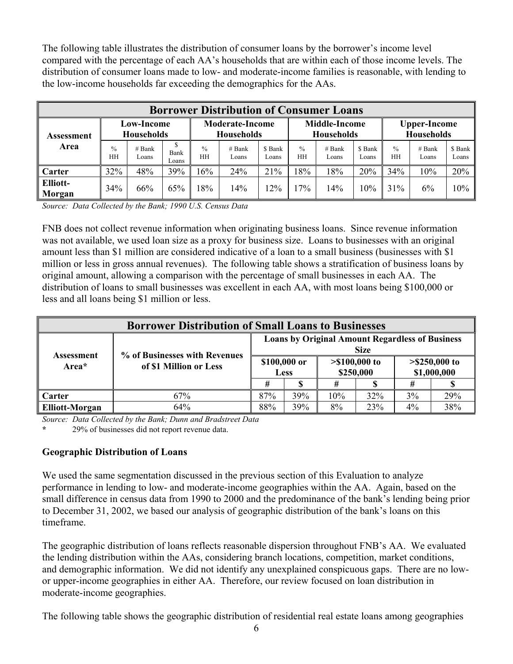The following table illustrates the distribution of consumer loans by the borrower's income level compared with the percentage of each AA's households that are within each of those income levels. The distribution of consumer loans made to low- and moderate-income families is reasonable, with lending to the low-income households far exceeding the demographics for the AAs.

| <b>Borrower Distribution of Consumer Loans</b> |                                        |                   |               |                                             |                   |                  |                                           |                   |                  |                                   |                   |                  |
|------------------------------------------------|----------------------------------------|-------------------|---------------|---------------------------------------------|-------------------|------------------|-------------------------------------------|-------------------|------------------|-----------------------------------|-------------------|------------------|
| Assessment<br>Area                             | <b>Low-Income</b><br><b>Households</b> |                   |               | <b>Moderate-Income</b><br><b>Households</b> |                   |                  | <b>Middle-Income</b><br><b>Households</b> |                   |                  | <b>Upper-Income</b><br>Households |                   |                  |
|                                                | $\frac{0}{0}$<br>HH                    | $#$ Bank<br>Loans | Bank<br>Loans | $\frac{0}{0}$<br>HH                         | $#$ Bank<br>Loans | \$ Bank<br>Loans | $\frac{0}{0}$<br>HH                       | $#$ Bank<br>Loans | \$ Bank<br>Loans | $\frac{0}{0}$<br>HH               | $#$ Bank<br>Loans | \$ Bank<br>Loans |
| Carter                                         | 32%                                    | 48%               | 39%           | 6%                                          | 24%               | 21%              | 18%                                       | 18%               | 20%              | 34%                               | 10%               | 20%              |
| Elliott-<br>Morgan                             | 34%                                    | 66%               | 65%           | 8%                                          | 14%               | 12%              | 17%                                       | 14%               | 10%              | 31%                               | 6%                | 10%              |

*Source: Data Collected by the Bank; 1990 U.S. Census Data* 

FNB does not collect revenue information when originating business loans. Since revenue information was not available, we used loan size as a proxy for business size. Loans to businesses with an original amount less than \$1 million are considered indicative of a loan to a small business (businesses with \$1) million or less in gross annual revenues). The following table shows a stratification of business loans by original amount, allowing a comparison with the percentage of small businesses in each AA. The distribution of loans to small businesses was excellent in each AA, with most loans being \$100,000 or less and all loans being \$1 million or less.

| <b>Borrower Distribution of Small Loans to Businesses</b> |                                                         |                                                                       |             |                              |     |                                |     |  |  |  |
|-----------------------------------------------------------|---------------------------------------------------------|-----------------------------------------------------------------------|-------------|------------------------------|-----|--------------------------------|-----|--|--|--|
|                                                           |                                                         | <b>Loans by Original Amount Regardless of Business</b><br><b>Size</b> |             |                              |     |                                |     |  |  |  |
| Assessment<br>Area*                                       | % of Businesses with Revenues<br>of \$1 Million or Less | \$100,000 or                                                          | <b>Less</b> | $> $100,000$ to<br>\$250,000 |     | $> $250,000$ to<br>\$1,000,000 |     |  |  |  |
|                                                           |                                                         |                                                                       |             |                              |     |                                |     |  |  |  |
| Carter                                                    | 67%                                                     | 87%                                                                   | 39%         | 10%                          | 32% | 3%                             | 29% |  |  |  |
| <b>Elliott-Morgan</b>                                     | 64%                                                     | 88%                                                                   | 39%         | 8%                           | 23% | $4\%$                          | 38% |  |  |  |

*Source: Data Collected by the Bank; Dunn and Bradstreet Data* 

**\*** 29% of businesses did not report revenue data.

### **Geographic Distribution of Loans**

We used the same segmentation discussed in the previous section of this Evaluation to analyze performance in lending to low- and moderate-income geographies within the AA. Again, based on the small difference in census data from 1990 to 2000 and the predominance of the bank's lending being prior to December 31, 2002, we based our analysis of geographic distribution of the bank's loans on this timeframe.

The geographic distribution of loans reflects reasonable dispersion throughout FNB's AA. We evaluated the lending distribution within the AAs, considering branch locations, competition, market conditions, and demographic information. We did not identify any unexplained conspicuous gaps. There are no lowor upper-income geographies in either AA. Therefore, our review focused on loan distribution in moderate-income geographies.

The following table shows the geographic distribution of residential real estate loans among geographies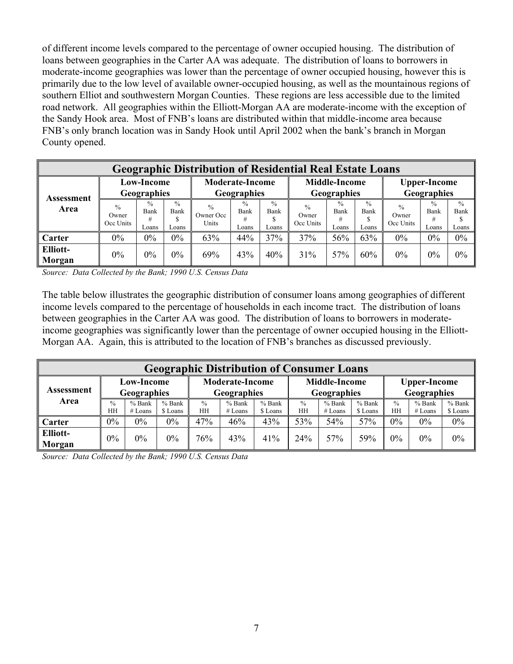of different income levels compared to the percentage of owner occupied housing. The distribution of loans between geographies in the Carter AA was adequate. The distribution of loans to borrowers in moderate-income geographies was lower than the percentage of owner occupied housing, however this is primarily due to the low level of available owner-occupied housing, as well as the mountainous regions of southern Elliot and southwestern Morgan Counties. These regions are less accessible due to the limited road network. All geographies within the Elliott-Morgan AA are moderate-income with the exception of the Sandy Hook area. Most of FNB's loans are distributed within that middle-income area because FNB's only branch location was in Sandy Hook until April 2002 when the bank's branch in Morgan County opened.

|                           | <b>Geographic Distribution of Residential Real Estate Loans</b>     |       |                                |                                       |                                |                                |                                     |                                |                                |                                     |                                     |                                |  |
|---------------------------|---------------------------------------------------------------------|-------|--------------------------------|---------------------------------------|--------------------------------|--------------------------------|-------------------------------------|--------------------------------|--------------------------------|-------------------------------------|-------------------------------------|--------------------------------|--|
| Assessment                | <b>Low-Income</b><br>Geographies                                    |       |                                | <b>Moderate-Income</b><br>Geographies |                                |                                | <b>Middle-Income</b><br>Geographies |                                |                                | <b>Upper-Income</b><br>Geographies  |                                     |                                |  |
| Area                      | $\frac{0}{0}$<br>$^{0}/_{0}$<br>Bank<br>Owner<br>Occ Units<br>Loans |       | $\frac{0}{0}$<br>Bank<br>Loans | $\frac{0}{0}$<br>Owner Occ<br>Units   | $\frac{0}{0}$<br>Bank<br>Loans | $\frac{0}{0}$<br>Bank<br>Loans | $\frac{0}{0}$<br>Owner<br>Occ Units | $\frac{0}{0}$<br>Bank<br>Loans | $\frac{0}{0}$<br>Bank<br>Loans | $\frac{0}{0}$<br>Owner<br>Occ Units | $\frac{0}{0}$<br>Bank<br>#<br>Loans | $\frac{0}{0}$<br>Bank<br>Loans |  |
| Carter                    | $0\%$                                                               | $0\%$ | $0\%$                          | 63%                                   | 44%                            | 37%                            | 37%                                 | 56%                            | 63%                            | 0%                                  | $0\%$                               | $0\%$                          |  |
| <b>Elliott-</b><br>Morgan | $0\%$                                                               | $0\%$ | $0\%$                          | 69%                                   | 43%                            | 40%                            | 31%                                 | 57%                            | 60%                            | 0%                                  | $0\%$                               | 0%                             |  |

*Source: Data Collected by the Bank; 1990 U.S. Census Data* 

The table below illustrates the geographic distribution of consumer loans among geographies of different income levels compared to the percentage of households in each income tract. The distribution of loans between geographies in the Carter AA was good. The distribution of loans to borrowers in moderateincome geographies was significantly lower than the percentage of owner occupied housing in the Elliott-Morgan AA. Again, this is attributed to the location of FNB's branches as discussed previously.

| <b>Geographic Distribution of Consumer Loans</b> |                                  |                     |                      |                                              |                       |                      |                                     |                     |                      |                                    |                     |                      |  |
|--------------------------------------------------|----------------------------------|---------------------|----------------------|----------------------------------------------|-----------------------|----------------------|-------------------------------------|---------------------|----------------------|------------------------------------|---------------------|----------------------|--|
| Assessment                                       | <b>Low-Income</b><br>Geographies |                     |                      | <b>Moderate-Income</b><br><b>Geographies</b> |                       |                      | <b>Middle-Income</b><br>Geographies |                     |                      | <b>Upper-Income</b><br>Geographies |                     |                      |  |
| Area                                             | $\frac{0}{0}$<br>HH              | $%$ Bank<br># Loans | $%$ Bank<br>\$ Loans | $\frac{0}{0}$<br>HH                          | $%$ Bank<br>$#$ Loans | $%$ Bank<br>\$ Loans | $\frac{0}{0}$<br>HН                 | $%$ Bank<br># Loans | $%$ Bank<br>\$ Loans | $\frac{0}{0}$<br>HH                | % Bank<br>$#$ Loans | $%$ Bank<br>\$ Loans |  |
| <b>Carter</b>                                    | 0%                               | $0\%$               | 0%                   | 47%                                          | 46%                   | 43%                  | 53%                                 | 54%                 | 57%                  | $0\%$                              | 0%                  | $0\%$                |  |
| Elliott-<br>Morgan                               | 0%                               | $0\%$               | 0%                   | 76%                                          | 43%                   | 41%                  | 24%                                 | 57%                 | 59%                  | $0\%$                              | 0%                  | $0\%$                |  |

*Source: Data Collected by the Bank; 1990 U.S. Census Data*